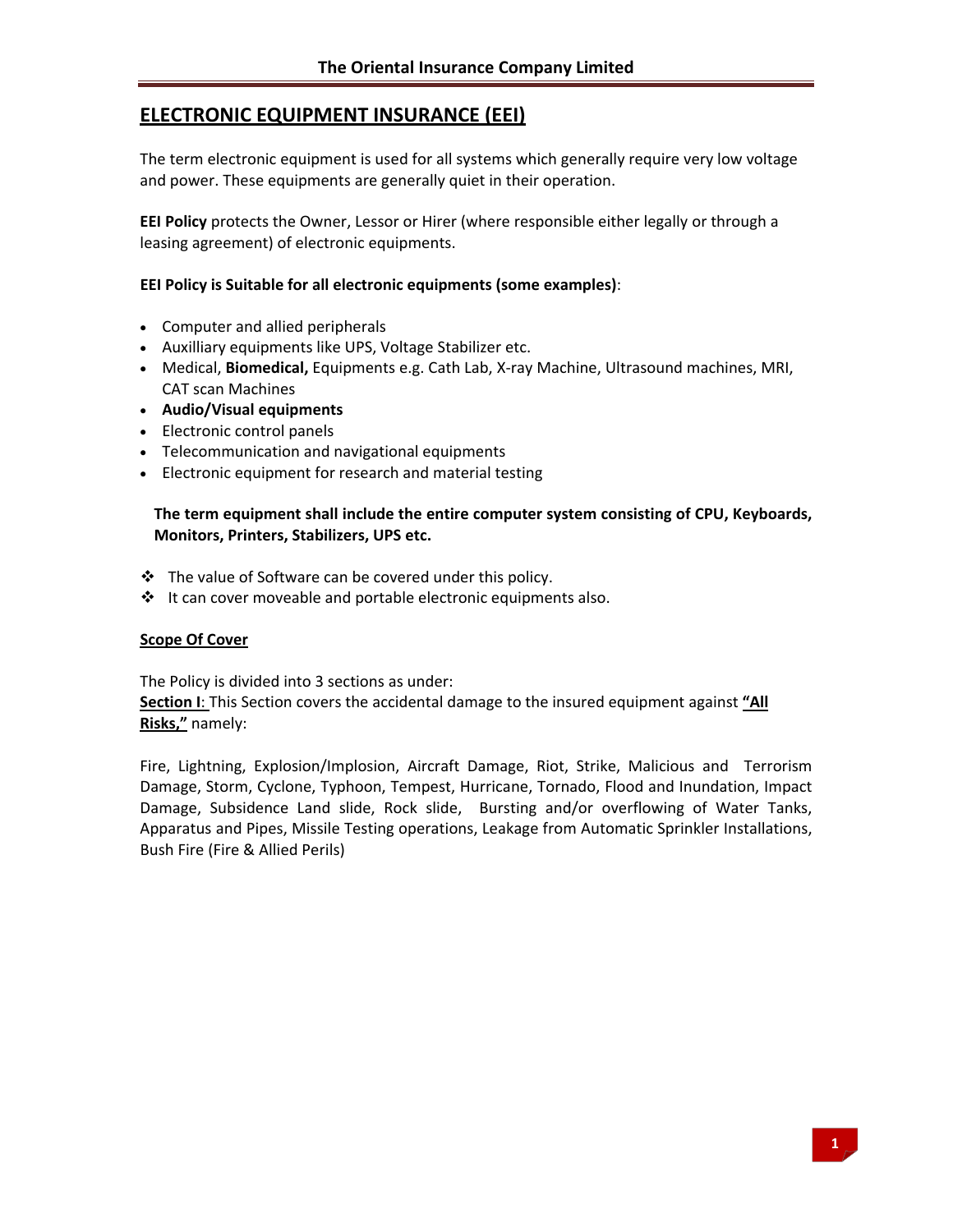# **ELECTRONIC EQUIPMENT INSURANCE (EEI)**

The term electronic equipment is used for all systems which generally require very low voltage and power. These equipments are generally quiet in their operation.

**EEI Policy** protects the Owner, Lessor or Hirer (where responsible either legally or through a leasing agreement) of electronic equipments.

### **EEI Policy is Suitable for all electronic equipments (some examples)**:

- Computer and allied peripherals
- Auxilliary equipments like UPS, Voltage Stabilizer etc.
- Medical, **Biomedical,** Equipments e.g. Cath Lab, X‐ray Machine, Ultrasound machines, MRI, CAT scan Machines
- **Audio/Visual equipments**
- Electronic control panels
- Telecommunication and navigational equipments
- Electronic equipment for research and material testing

# **The term equipment shall include the entire computer system consisting of CPU, Keyboards, Monitors, Printers, Stabilizers, UPS etc.**

- \* The value of Software can be covered under this policy.
- $\cdot \cdot$  It can cover moveable and portable electronic equipments also.

### **Scope Of Cover**

The Policy is divided into 3 sections as under: **Section I**: This Section covers the accidental damage to the insured equipment against **"All Risks,"** namely:

Fire, Lightning, Explosion/Implosion, Aircraft Damage, Riot, Strike, Malicious and Terrorism Damage, Storm, Cyclone, Typhoon, Tempest, Hurricane, Tornado, Flood and Inundation, Impact Damage, Subsidence Land slide, Rock slide, Bursting and/or overflowing of Water Tanks, Apparatus and Pipes, Missile Testing operations, Leakage from Automatic Sprinkler Installations, Bush Fire (Fire & Allied Perils)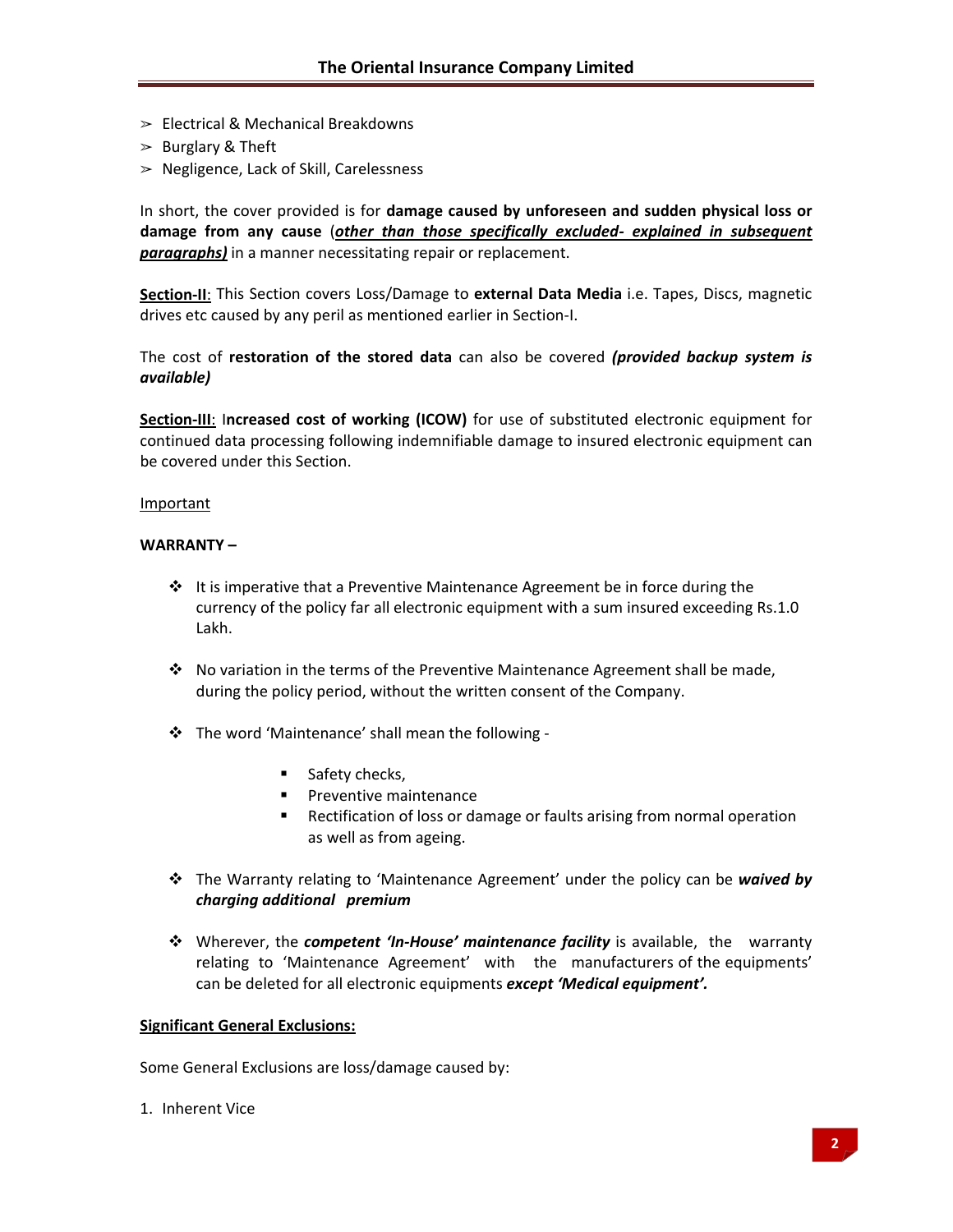- $\geq$  Electrical & Mechanical Breakdowns
- $>$  Burglary & Theft
- $\geq$  Negligence, Lack of Skill, Carelessness

In short, the cover provided is for **damage caused by unforeseen and sudden physical loss or damage from any cause** (*other than those specifically excluded‐ explained in subsequent paragraphs)* in a manner necessitating repair or replacement.

**Section‐II**: This Section covers Loss/Damage to **external Data Media** i.e. Tapes, Discs, magnetic drives etc caused by any peril as mentioned earlier in Section‐I.

The cost of **restoration of the stored data** can also be covered *(provided backup system is available)*

**Section‐III**: I**ncreased cost of working (ICOW)** for use of substituted electronic equipment for continued data processing following indemnifiable damage to insured electronic equipment can be covered under this Section.

#### **Important**

#### **WARRANTY –**

- $\cdot \cdot$  It is imperative that a Preventive Maintenance Agreement be in force during the currency of the policy far all electronic equipment with a sum insured exceeding Rs.1.0 Lakh.
- $\cdot \cdot$  No variation in the terms of the Preventive Maintenance Agreement shall be made, during the policy period, without the written consent of the Company.
- The word 'Maintenance' shall mean the following ‐
	- $\blacksquare$  Safety checks,
	- **Preventive maintenance**
	- **EXECT** Rectification of loss or damage or faults arising from normal operation as well as from ageing.
- The Warranty relating to 'Maintenance Agreement' under the policy can be *waived by charging additional premium*
- Wherever, the *competent 'In‐House' maintenance facility* is available, the warranty relating to 'Maintenance Agreement' with the manufacturers of the equipments' can be deleted for all electronic equipments *except 'Medical equipment'.*

#### **Significant General Exclusions:**

Some General Exclusions are loss/damage caused by:

1. Inherent Vice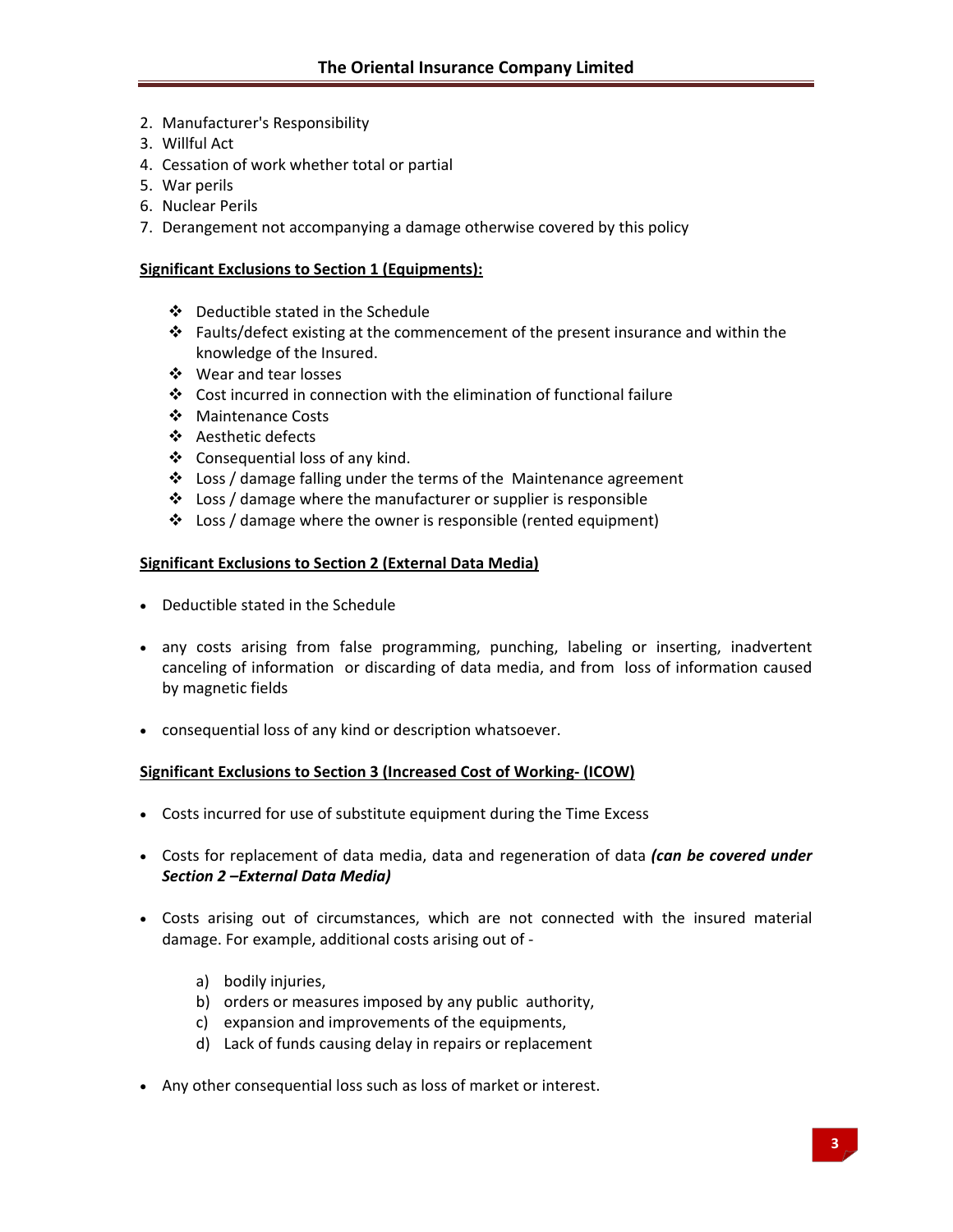- 2. Manufacturer's Responsibility
- 3. Willful Act
- 4. Cessation of work whether total or partial
- 5. War perils
- 6. Nuclear Perils
- 7. Derangement not accompanying a damage otherwise covered by this policy

#### **Significant Exclusions to Section 1 (Equipments):**

- Deductible stated in the Schedule
- $\cdot \cdot$  Faults/defect existing at the commencement of the present insurance and within the knowledge of the Insured.
- ❖ Wear and tear losses
- Cost incurred in connection with the elimination of functional failure
- ❖ Maintenance Costs
- Aesthetic defects
- Consequential loss of any kind.
- Loss / damage falling under the terms of the Maintenance agreement
- $\cdot$  Loss / damage where the manufacturer or supplier is responsible
- Loss / damage where the owner is responsible (rented equipment)

### **Significant Exclusions to Section 2 (External Data Media)**

- Deductible stated in the Schedule
- any costs arising from false programming, punching, labeling or inserting, inadvertent canceling of information or discarding of data media, and from loss of information caused by magnetic fields
- consequential loss of any kind or description whatsoever.

### **Significant Exclusions to Section 3 (Increased Cost of Working‐ (ICOW)**

- Costs incurred for use of substitute equipment during the Time Excess
- Costs for replacement of data media, data and regeneration of data *(can be covered under Section 2 –External Data Media)*
- Costs arising out of circumstances, which are not connected with the insured material damage. For example, additional costs arising out of ‐
	- a) bodily injuries,
	- b) orders or measures imposed by any public authority,
	- c) expansion and improvements of the equipments,
	- d) Lack of funds causing delay in repairs or replacement
- Any other consequential loss such as loss of market or interest.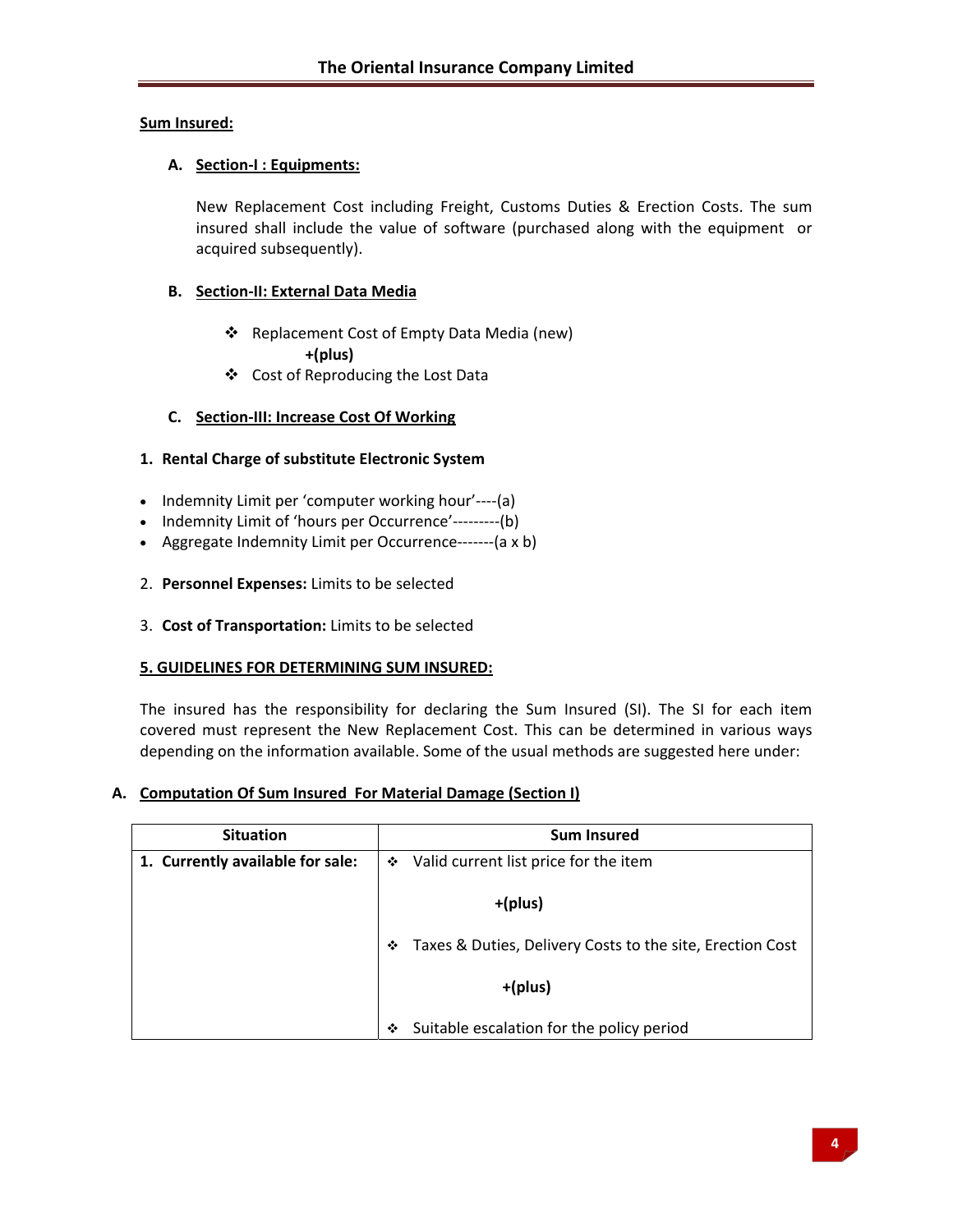### **Sum Insured:**

# **A. Section‐I : Equipments:**

New Replacement Cost including Freight, Customs Duties & Erection Costs. The sum insured shall include the value of software (purchased along with the equipment or acquired subsequently).

# **B. Section‐II: External Data Media**

- Replacement Cost of Empty Data Media (new) **+(plus)**
- Cost of Reproducing the Lost Data

# **C. Section‐III: Increase Cost Of Working**

## **1. Rental Charge of substitute Electronic System**

- Indemnity Limit per 'computer working hour'----(a)
- Indemnity Limit of 'hours per Occurrence'---------(b)
- Aggregate Indemnity Limit per Occurrence------- (a x b)
- 2. **Personnel Expenses:** Limits to be selected
- 3. **Cost of Transportation:** Limits to be selected

### **5. GUIDELINES FOR DETERMINING SUM INSURED:**

The insured has the responsibility for declaring the Sum Insured (SI). The SI for each item covered must represent the New Replacement Cost. This can be determined in various ways depending on the information available. Some of the usual methods are suggested here under:

### **A. Computation Of Sum Insured For Material Damage (Section I)**

| <b>Situation</b>                 | <b>Sum Insured</b>                                             |
|----------------------------------|----------------------------------------------------------------|
| 1. Currently available for sale: | ❖ Valid current list price for the item                        |
|                                  | +(plus)                                                        |
|                                  | Taxes & Duties, Delivery Costs to the site, Erection Cost<br>❖ |
|                                  | +(plus)                                                        |
|                                  | Suitable escalation for the policy period<br>❖                 |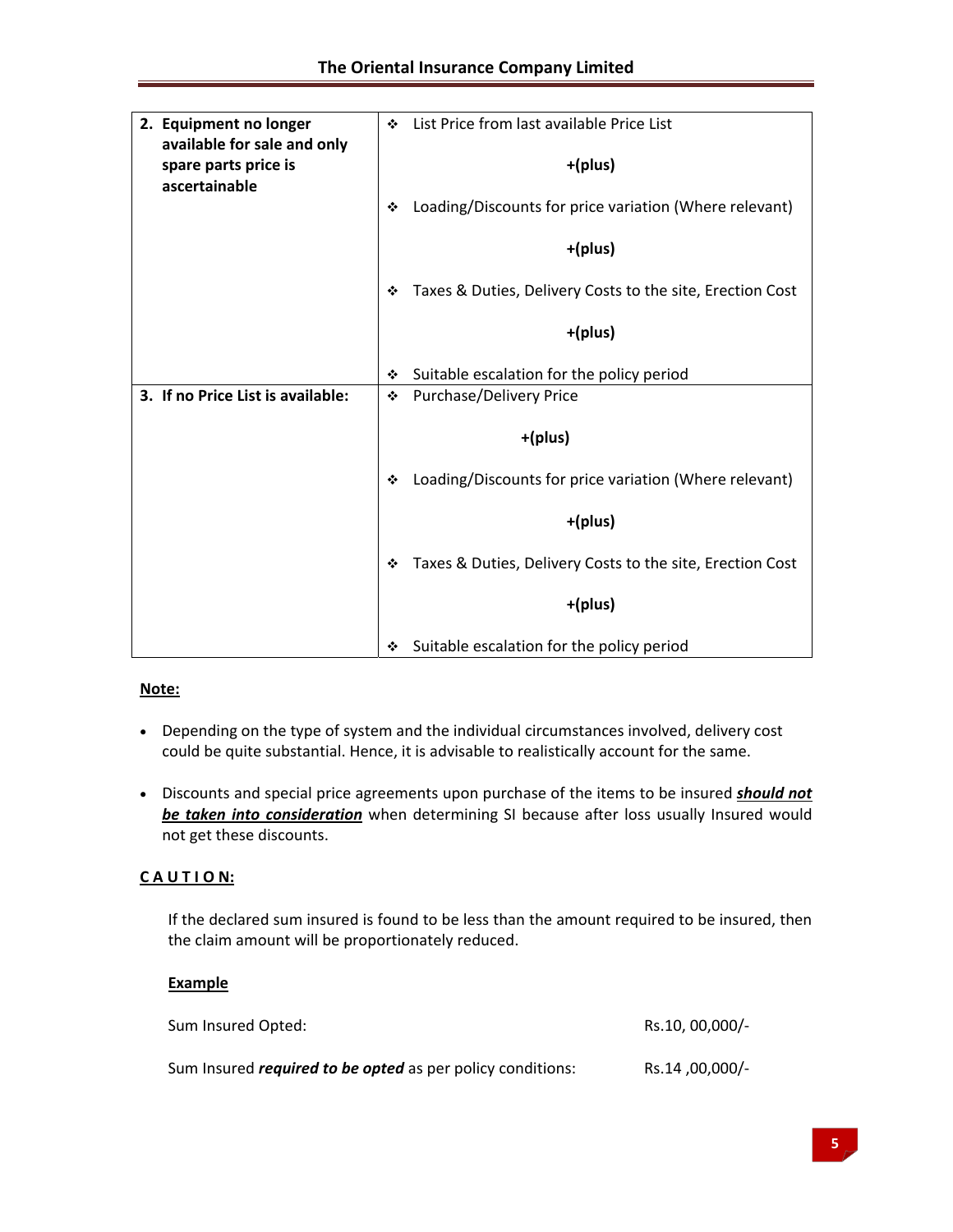| 2. Equipment no longer                                               | List Price from last available Price List<br>÷                 |  |  |  |
|----------------------------------------------------------------------|----------------------------------------------------------------|--|--|--|
| available for sale and only<br>spare parts price is<br>ascertainable | +(plus)                                                        |  |  |  |
|                                                                      | Loading/Discounts for price variation (Where relevant)<br>٠    |  |  |  |
|                                                                      | +(plus)                                                        |  |  |  |
|                                                                      | Taxes & Duties, Delivery Costs to the site, Erection Cost<br>❖ |  |  |  |
|                                                                      | +(plus)                                                        |  |  |  |
|                                                                      | Suitable escalation for the policy period<br>❖                 |  |  |  |
| 3. If no Price List is available:                                    | <b>Purchase/Delivery Price</b><br>❖                            |  |  |  |
|                                                                      | +(plus)                                                        |  |  |  |
|                                                                      | Loading/Discounts for price variation (Where relevant)<br>٠    |  |  |  |
|                                                                      | +(plus)                                                        |  |  |  |
|                                                                      | Taxes & Duties, Delivery Costs to the site, Erection Cost<br>❖ |  |  |  |
|                                                                      | +(plus)                                                        |  |  |  |
|                                                                      | Suitable escalation for the policy period<br>❖                 |  |  |  |

# **Note:**

- Depending on the type of system and the individual circumstances involved, delivery cost could be quite substantial. Hence, it is advisable to realistically account for the same.
- Discounts and special price agreements upon purchase of the items to be insured *should not be taken into consideration* when determining SI because after loss usually Insured would not get these discounts.

# **C A U T I O N:**

If the declared sum insured is found to be less than the amount required to be insured, then the claim amount will be proportionately reduced.

### **Example**

| Sum Insured Opted:                                                | Rs.10, 00,000/- |
|-------------------------------------------------------------------|-----------------|
| Sum Insured <i>required to be opted</i> as per policy conditions: | -/00,000, Rs.14 |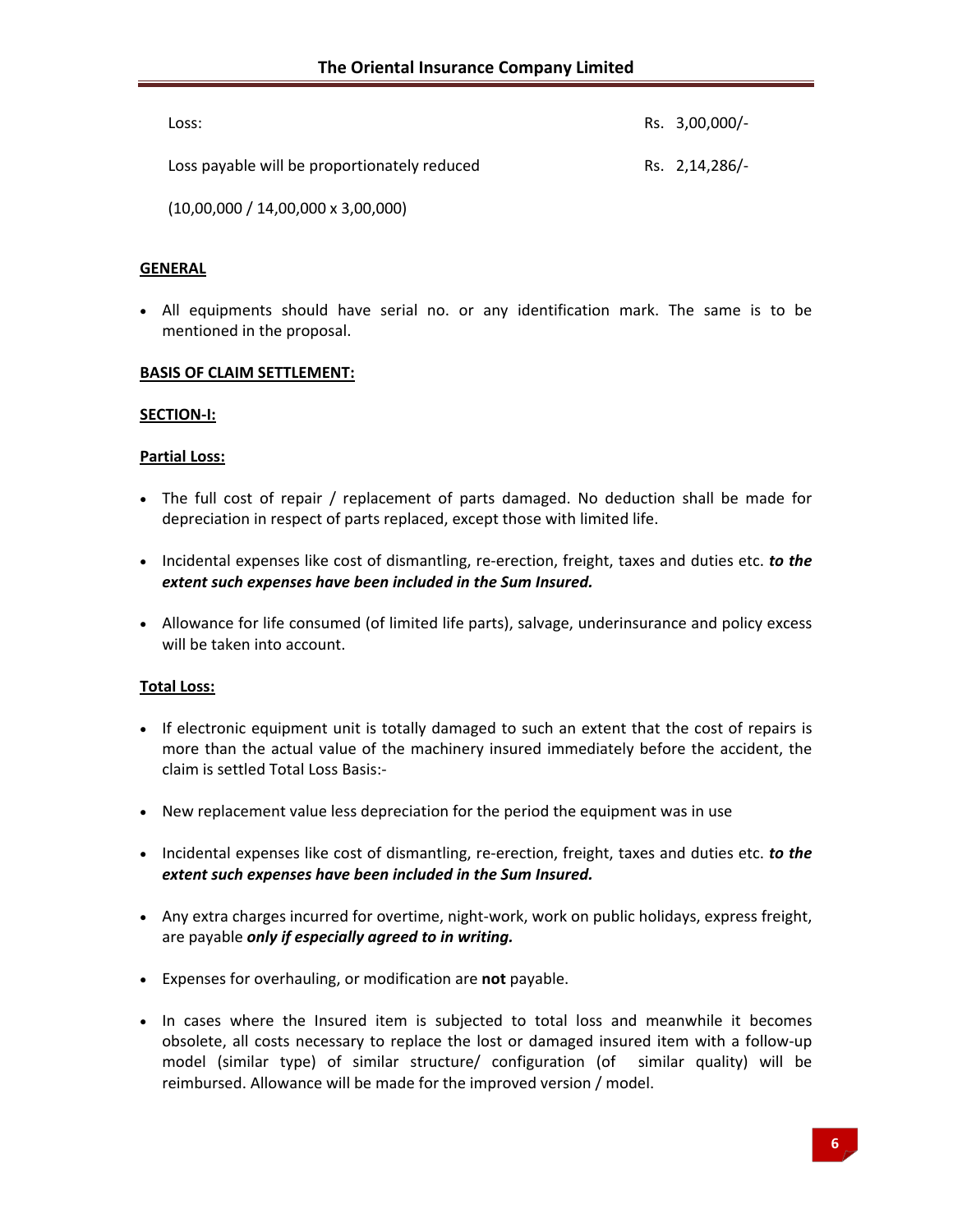| Loss:                                        | Rs. 3,00,000/- |
|----------------------------------------------|----------------|
| Loss payable will be proportionately reduced | Rs. 2,14,286/- |

(10,00,000 / 14,00,000 x 3,00,000)

### **GENERAL**

• All equipments should have serial no. or any identification mark. The same is to be mentioned in the proposal.

#### **BASIS OF CLAIM SETTLEMENT:**

#### **SECTION‐I:**

#### **Partial Loss:**

- The full cost of repair / replacement of parts damaged. No deduction shall be made for depreciation in respect of parts replaced, except those with limited life.
- Incidental expenses like cost of dismantling, re‐erection, freight, taxes and duties etc. *to the extent such expenses have been included in the Sum Insured.*
- Allowance for life consumed (of limited life parts), salvage, underinsurance and policy excess will be taken into account.

#### **Total Loss:**

- If electronic equipment unit is totally damaged to such an extent that the cost of repairs is more than the actual value of the machinery insured immediately before the accident, the claim is settled Total Loss Basis:‐
- New replacement value less depreciation for the period the equipment was in use
- Incidental expenses like cost of dismantling, re‐erection, freight, taxes and duties etc. *to the extent such expenses have been included in the Sum Insured.*
- Any extra charges incurred for overtime, night-work, work on public holidays, express freight, are payable *only if especially agreed to in writing.*
- Expenses for overhauling, or modification are **not** payable.
- In cases where the Insured item is subjected to total loss and meanwhile it becomes obsolete, all costs necessary to replace the lost or damaged insured item with a follow‐up model (similar type) of similar structure/ configuration (of similar quality) will be reimbursed. Allowance will be made for the improved version / model.